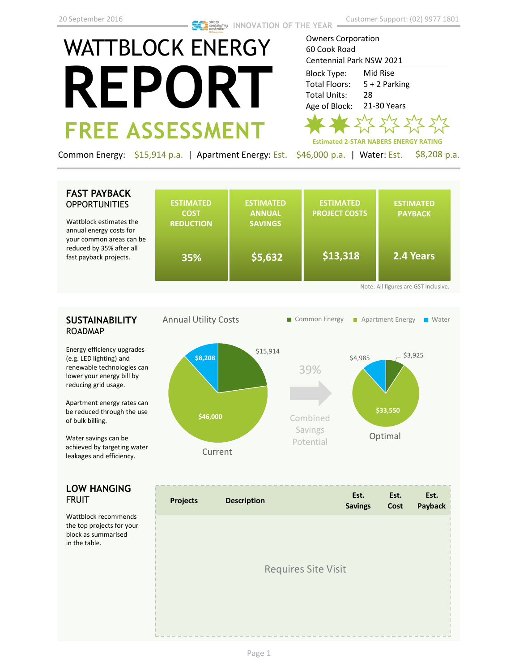# WATTBLOCK ENERGY **REPORT FREE ASSESSMENT**

Owners Corporation 60 Cook Road Centennial Park NSW 2021 Block Type: Mid Rise Total Floors: 5 + 2 Parking Total Units: 28 Age of Block: 21-30 Years  $\sqrt{2}$ **Estimated 2-STAR NABERS ENERGY RATING**

Common Energy: \$15,914 p.a. | Apartment Energy: Est. \$46,000 p.a. | Water: Est. \$8,208 p.a.

# **FAST PAYBACK OPPORTUNITIES**

Wattblock estimates the annual energy costs for your common areas can be reduced by 35% after all fast payback projects.

| <b>ESTIMATED</b><br><b>COST</b><br><b>REDUCTION</b><br>35% | <b>ESTIMATED</b><br><b>ANNUAL</b><br><b>SAVINGS</b><br>\$5,632 | <b>ESTIMATED</b><br><b>PROJECT COSTS</b><br>\$13,318 | <b>ESTIMATED</b><br><b>PAYBACK</b><br>2.4 Years |  |  |
|------------------------------------------------------------|----------------------------------------------------------------|------------------------------------------------------|-------------------------------------------------|--|--|
| Note: All figures are GST inclusive.                       |                                                                |                                                      |                                                 |  |  |

# **SUSTAINABILITY** ROADMAP

Energy efficiency upgrades (e.g. LED lighting) and renewable technologies can lower your energy bill by reducing grid usage.

Apartment energy rates can be reduced through the use of bulk billing.

Water savings can be achieved by targeting water leakages and efficiency.

### **LOW HANGING**  FRUIT

Wattblock recommends the top projects for your block as summarised in the table.



| <b>Projects</b>            | <b>Description</b> | Est.<br><b>Savings</b> | Est.<br>Cost | Est.<br>Payback |  |
|----------------------------|--------------------|------------------------|--------------|-----------------|--|
|                            |                    |                        |              |                 |  |
| <b>Requires Site Visit</b> |                    |                        |              |                 |  |
|                            |                    |                        |              |                 |  |